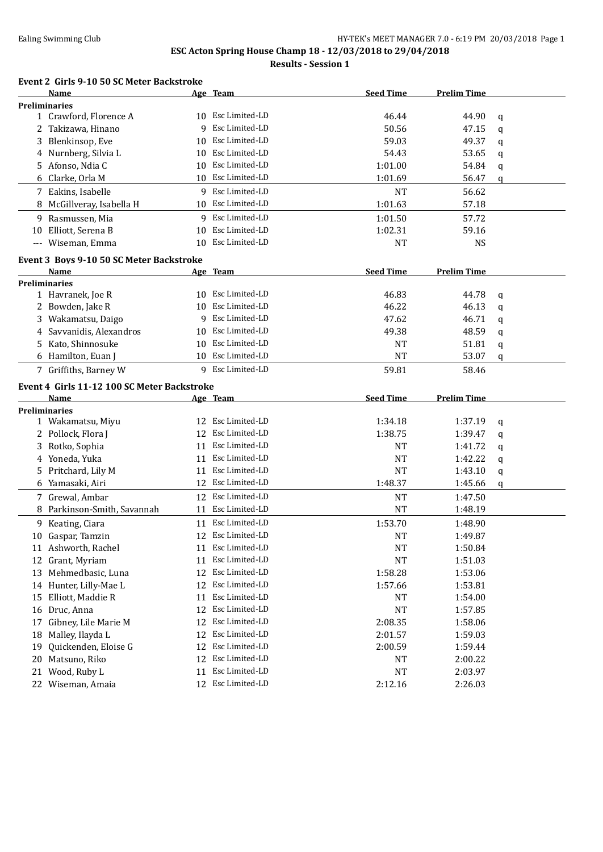#### Ealing Swimming Club **HY-TEK's MEET MANAGER 7.0 - 6:19 PM 20/03/2018** Page 1

# **ESC Acton Spring House Champ 18 - 12/03/2018 to 29/04/2018**

**Results - Session 1**

# **Event 2 Girls 9-10 50 SC Meter Backstroke**

|    | <b>Name</b>                                 |    | Age Team          | <b>Seed Time</b> | <b>Prelim Time</b> |             |
|----|---------------------------------------------|----|-------------------|------------------|--------------------|-------------|
|    | <b>Preliminaries</b>                        |    |                   |                  |                    |             |
|    | 1 Crawford, Florence A                      |    | 10 Esc Limited-LD | 46.44            | 44.90              | q           |
|    | 2 Takizawa, Hinano                          | 9  | Esc Limited-LD    | 50.56            | 47.15              | $\mathbf q$ |
| 3  | Blenkinsop, Eve                             | 10 | Esc Limited-LD    | 59.03            | 49.37              | q           |
| 4  | Nurnberg, Silvia L                          | 10 | Esc Limited-LD    | 54.43            | 53.65              | q           |
|    | 5 Afonso, Ndia C                            | 10 | Esc Limited-LD    | 1:01.00          | 54.84              | q           |
| 6  | Clarke, Orla M                              | 10 | Esc Limited-LD    | 1:01.69          | 56.47              | q           |
|    | 7 Eakins, Isabelle                          | 9  | Esc Limited-LD    | <b>NT</b>        | 56.62              |             |
|    | 8 McGillveray, Isabella H                   | 10 | Esc Limited-LD    | 1:01.63          | 57.18              |             |
|    | 9 Rasmussen, Mia                            | 9  | Esc Limited-LD    | 1:01.50          | 57.72              |             |
| 10 | Elliott, Serena B                           | 10 | Esc Limited-LD    | 1:02.31          | 59.16              |             |
|    | --- Wiseman, Emma                           | 10 | Esc Limited-LD    | <b>NT</b>        | <b>NS</b>          |             |
|    | Event 3 Boys 9-10 50 SC Meter Backstroke    |    |                   |                  |                    |             |
|    | <b>Name</b>                                 |    | Age Team          | <b>Seed Time</b> | <b>Prelim Time</b> |             |
|    | <b>Preliminaries</b>                        |    |                   |                  |                    |             |
|    | 1 Havranek, Joe R                           |    | 10 Esc Limited-LD | 46.83            | 44.78              | q           |
|    | 2 Bowden, Jake R                            | 10 | Esc Limited-LD    | 46.22            | 46.13              | q           |
|    | 3 Wakamatsu, Daigo                          | 9  | Esc Limited-LD    | 47.62            | 46.71              | q           |
| 4  | Savvanidis, Alexandros                      | 10 | Esc Limited-LD    | 49.38            | 48.59              | q           |
|    | 5 Kato, Shinnosuke                          | 10 | Esc Limited-LD    | <b>NT</b>        | 51.81              | q           |
|    | 6 Hamilton, Euan J                          | 10 | Esc Limited-LD    | <b>NT</b>        | 53.07              | q           |
|    |                                             |    | 9 Esc Limited-LD  |                  |                    |             |
|    | 7 Griffiths, Barney W                       |    |                   | 59.81            | 58.46              |             |
|    | Event 4 Girls 11-12 100 SC Meter Backstroke |    |                   |                  |                    |             |
|    |                                             |    |                   |                  |                    |             |
|    | <b>Name</b>                                 |    | Age Team          | <b>Seed Time</b> | <b>Prelim Time</b> |             |
|    | <b>Preliminaries</b>                        |    |                   |                  |                    |             |
|    | 1 Wakamatsu, Miyu                           |    | 12 Esc Limited-LD | 1:34.18          | 1:37.19            | q           |
|    | 2 Pollock, Flora J                          | 12 | Esc Limited-LD    | 1:38.75          | 1:39.47            | q           |
| 3  | Rotko, Sophia                               | 11 | Esc Limited-LD    | NT               | 1:41.72            | q           |
| 4  | Yoneda, Yuka                                | 11 | Esc Limited-LD    | <b>NT</b>        | 1:42.22            | q           |
| 5. | Pritchard, Lily M                           | 11 | Esc Limited-LD    | <b>NT</b>        | 1:43.10            | q           |
|    | 6 Yamasaki, Airi                            | 12 | Esc Limited-LD    | 1:48.37          | 1:45.66            | q           |
|    | 7 Grewal, Ambar                             | 12 | Esc Limited-LD    | <b>NT</b>        | 1:47.50            |             |
|    | Parkinson-Smith, Savannah                   |    | 11 Esc Limited-LD | <b>NT</b>        | 1:48.19            |             |
|    | 9 Keating, Ciara                            |    | 11 Esc Limited-LD | 1:53.70          | 1:48.90            |             |
|    | 10 Gaspar, Tamzin                           |    | 12 Esc Limited-LD | <b>NT</b>        | 1:49.87            |             |
|    | 11 Ashworth, Rachel                         |    | 11 Esc Limited-LD | <b>NT</b>        | 1:50.84            |             |
|    | 12 Grant, Myriam                            | 11 | Esc Limited-LD    | <b>NT</b>        | 1:51.03            |             |
| 13 | Mehmedbasic, Luna                           | 12 | Esc Limited-LD    | 1:58.28          | 1:53.06            |             |
|    | 14 Hunter, Lilly-Mae L                      | 12 | Esc Limited-LD    | 1:57.66          | 1:53.81            |             |
| 15 | Elliott, Maddie R                           | 11 | Esc Limited-LD    | NT               | 1:54.00            |             |
| 16 | Druc, Anna                                  | 12 | Esc Limited-LD    | NT               | 1:57.85            |             |
| 17 | Gibney, Lile Marie M                        | 12 | Esc Limited-LD    | 2:08.35          | 1:58.06            |             |
| 18 | Malley, Ilayda L                            | 12 | Esc Limited-LD    | 2:01.57          | 1:59.03            |             |
| 19 | Quickenden, Eloise G                        | 12 | Esc Limited-LD    | 2:00.59          | 1:59.44            |             |
| 20 | Matsuno, Riko                               | 12 | Esc Limited-LD    | NT               | 2:00.22            |             |
| 21 | Wood, Ruby L                                | 11 | Esc Limited-LD    | NT               | 2:03.97            |             |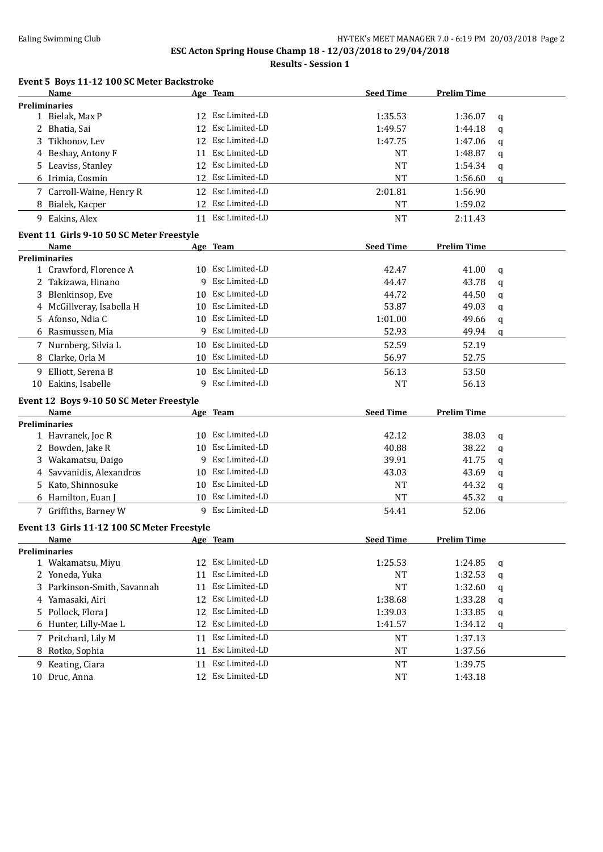#### Ealing Swimming Club **HY-TEK's MEET MANAGER 7.0 - 6:19 PM 20/03/2018** Page 2

# **ESC Acton Spring House Champ 18 - 12/03/2018 to 29/04/2018**

**Results - Session 1**

#### **Event 5 Boys 11-12 100 SC Meter Backstroke**

|    | <b>Name</b>                                      |    | Age Team                            | <b>Seed Time</b>   | <b>Prelim Time</b> |   |
|----|--------------------------------------------------|----|-------------------------------------|--------------------|--------------------|---|
|    | <b>Preliminaries</b>                             |    |                                     |                    |                    |   |
|    | 1 Bielak, Max P                                  |    | 12 Esc Limited-LD                   | 1:35.53            | 1:36.07            | q |
|    | 2 Bhatia, Sai                                    | 12 | Esc Limited-LD                      | 1:49.57            | 1:44.18            | q |
| 3  | Tikhonov, Lev                                    |    | 12 Esc Limited-LD                   | 1:47.75            | 1:47.06            | q |
| 4  | Beshay, Antony F                                 | 11 | Esc Limited-LD                      | <b>NT</b>          | 1:48.87            | q |
| 5. | Leaviss, Stanley                                 |    | 12 Esc Limited-LD                   | <b>NT</b>          | 1:54.34            | q |
| 6  | Irimia, Cosmin                                   | 12 | Esc Limited-LD                      | <b>NT</b>          | 1:56.60            | q |
|    | 7 Carroll-Waine, Henry R                         | 12 | Esc Limited-LD                      | 2:01.81            | 1:56.90            |   |
|    | 8 Bialek, Kacper                                 |    | 12 Esc Limited-LD                   | NT                 | 1:59.02            |   |
|    | 9 Eakins, Alex                                   |    | 11 Esc Limited-LD                   | <b>NT</b>          | 2:11.43            |   |
|    | Event 11 Girls 9-10 50 SC Meter Freestyle        |    |                                     |                    |                    |   |
|    | Name                                             |    | Age Team                            | <b>Seed Time</b>   | <b>Prelim Time</b> |   |
|    | <b>Preliminaries</b>                             |    |                                     |                    |                    |   |
|    | 1 Crawford, Florence A                           |    | 10 Esc Limited-LD                   | 42.47              | 41.00              | q |
|    | 2 Takizawa, Hinano                               | 9  | Esc Limited-LD                      | 44.47              | 43.78              |   |
| 3  | Blenkinsop, Eve                                  | 10 | Esc Limited-LD                      | 44.72              | 44.50              | q |
|    |                                                  |    | Esc Limited-LD                      | 53.87              |                    | q |
| 4  | McGillveray, Isabella H                          | 10 |                                     |                    | 49.03              | q |
| 5. | Afonso, Ndia C                                   | 10 | Esc Limited-LD                      | 1:01.00            | 49.66              | q |
|    | 6 Rasmussen, Mia                                 | 9  | Esc Limited-LD                      | 52.93              | 49.94              | q |
|    | 7 Nurnberg, Silvia L                             | 10 | Esc Limited-LD                      | 52.59              | 52.19              |   |
| 8  | Clarke, Orla M                                   |    | 10 Esc Limited-LD                   | 56.97              | 52.75              |   |
| 9. | Elliott, Serena B                                | 10 | Esc Limited-LD                      | 56.13              | 53.50              |   |
|    | 10 Eakins, Isabelle                              | 9  | Esc Limited-LD                      | <b>NT</b>          | 56.13              |   |
|    |                                                  |    |                                     |                    |                    |   |
|    |                                                  |    |                                     |                    |                    |   |
|    | Event 12 Boys 9-10 50 SC Meter Freestyle<br>Name |    | Age Team                            | <b>Seed Time</b>   | <b>Prelim Time</b> |   |
|    | <b>Preliminaries</b>                             |    |                                     |                    |                    |   |
|    | 1 Havranek, Joe R                                | 10 | Esc Limited-LD                      | 42.12              | 38.03              | q |
|    | 2 Bowden, Jake R                                 | 10 | Esc Limited-LD                      | 40.88              | 38.22              | q |
| 3  | Wakamatsu, Daigo                                 | 9  | Esc Limited-LD                      | 39.91              | 41.75              | q |
| 4  | Savvanidis, Alexandros                           | 10 | Esc Limited-LD                      | 43.03              | 43.69              | q |
| 5  |                                                  | 10 | Esc Limited-LD                      | <b>NT</b>          | 44.32              |   |
|    | Kato, Shinnosuke                                 |    | 10 Esc Limited-LD                   |                    |                    | q |
|    | 6 Hamilton, Euan J<br>7 Griffiths, Barney W      |    | 9 Esc Limited-LD                    | <b>NT</b><br>54.41 | 45.32<br>52.06     | q |
|    |                                                  |    |                                     |                    |                    |   |
|    | Event 13 Girls 11-12 100 SC Meter Freestyle      |    |                                     |                    |                    |   |
|    | Name                                             |    | Age Team                            | <b>Seed Time</b>   | <b>Prelim Time</b> |   |
|    | <b>Preliminaries</b>                             | 12 | Esc Limited-LD                      |                    |                    |   |
|    | 1 Wakamatsu, Miyu                                | 11 | Esc Limited-LD                      | 1:25.53            | 1:24.85            | q |
|    | 2 Yoneda, Yuka                                   |    |                                     | NT                 | 1:32.53            | q |
| 3  | Parkinson-Smith, Savannah                        | 11 | Esc Limited-LD                      | NT                 | 1:32.60            | q |
| 4  | Yamasaki, Airi                                   | 12 | Esc Limited-LD                      | 1:38.68            | 1:33.28            | q |
| 5. | Pollock, Flora J                                 | 12 | Esc Limited-LD                      | 1:39.03            | 1:33.85            | q |
|    | 6 Hunter, Lilly-Mae L                            | 12 | Esc Limited-LD                      | 1:41.57            | 1:34.12            | q |
|    | 7 Pritchard, Lily M                              | 11 | Esc Limited-LD                      | NT                 | 1:37.13            |   |
| 8  | Rotko, Sophia                                    | 11 | Esc Limited-LD                      | NT                 | 1:37.56            |   |
| 9  | Keating, Ciara<br>10 Druc, Anna                  | 11 | Esc Limited-LD<br>12 Esc Limited-LD | NT<br>NT           | 1:39.75<br>1:43.18 |   |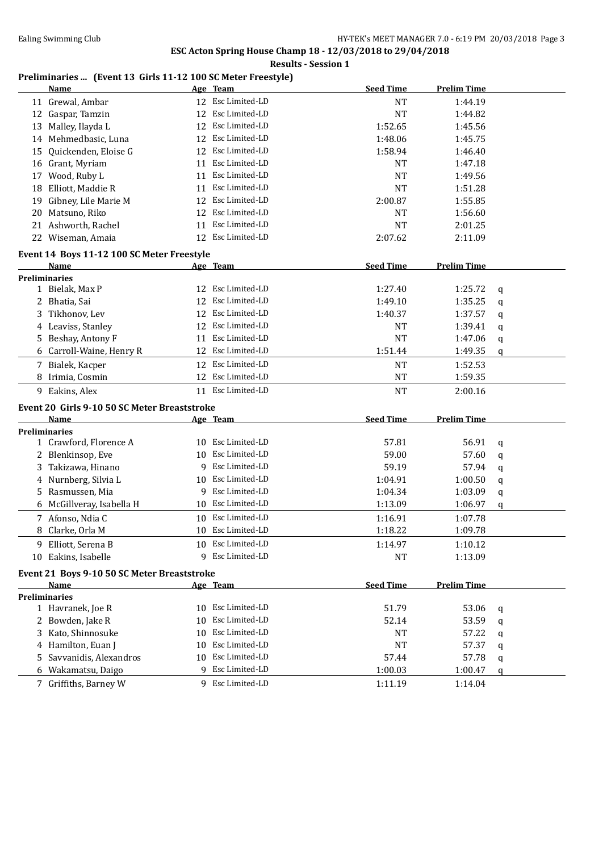**ESC Acton Spring House Champ 18 - 12/03/2018 to 29/04/2018 Results - Session 1**

# **Preliminaries ... (Event 13 Girls 11-12 100 SC Meter Freestyle)**

| Esc Limited-LD<br>11 Grewal, Ambar<br><b>NT</b><br>1:44.19<br>Esc Limited-LD<br>12 Gaspar, Tamzin<br>12<br><b>NT</b><br>1:44.82<br>Esc Limited-LD<br>Malley, Ilayda L<br>12<br>1:52.65<br>1:45.56<br>13<br>Esc Limited-LD<br>Mehmedbasic, Luna<br>1:48.06<br>12<br>1:45.75<br>14<br>Esc Limited-LD<br>Quickenden, Eloise G<br>12<br>1:58.94<br>1:46.40<br>15<br>Esc Limited-LD<br><b>NT</b><br>1:47.18<br>16 Grant, Myriam<br>11<br>Esc Limited-LD<br><b>NT</b><br>Wood, Ruby L<br>1:49.56<br>11<br>17<br>18 Elliott, Maddie R<br>Esc Limited-LD<br><b>NT</b><br>1:51.28<br>11<br>Esc Limited-LD<br>Gibney, Lile Marie M<br>2:00.87<br>1:55.85<br>12<br>19<br>Esc Limited-LD<br>Matsuno, Riko<br><b>NT</b><br>1:56.60<br>12<br>20.<br>Esc Limited-LD<br>21 Ashworth, Rachel<br><b>NT</b><br>2:01.25<br>11<br>12 Esc Limited-LD<br>22 Wiseman, Amaia<br>2:07.62<br>2:11.09<br>Event 14 Boys 11-12 100 SC Meter Freestyle<br><b>Prelim Time</b><br><b>Seed Time</b><br>Name<br>Age Team<br><b>Preliminaries</b><br>Esc Limited-LD<br>1 Bielak, Max P<br>1:27.40<br>1:25.72<br>12<br>q<br>Esc Limited-LD<br>2 Bhatia, Sai<br>1:49.10<br>1:35.25<br>12<br>q<br>Tikhonov, Lev<br>Esc Limited-LD<br>1:40.37<br>1:37.57<br>3<br>12<br>q<br>Esc Limited-LD<br>4 Leaviss, Stanley<br><b>NT</b><br>1:39.41<br>12<br>q<br><b>NT</b><br>Beshay, Antony F<br>Esc Limited-LD<br>1:47.06<br>11<br>5.<br>q<br>Esc Limited-LD<br>6 Carroll-Waine, Henry R<br>1:51.44<br>12<br>1:49.35<br>q<br>12 Esc Limited-LD<br>7 Bialek, Kacper<br><b>NT</b><br>1:52.53<br>Esc Limited-LD<br>8 Irimia, Cosmin<br>12<br><b>NT</b><br>1:59.35<br>9 Eakins, Alex<br>11 Esc Limited-LD<br><b>NT</b><br>2:00.16<br>Event 20 Girls 9-10 50 SC Meter Breaststroke<br><b>Name</b><br><b>Seed Time</b><br><b>Prelim Time</b><br>Age Team<br><b>Preliminaries</b><br>10 Esc Limited-LD<br>1 Crawford, Florence A<br>57.81<br>56.91<br>q<br>Esc Limited-LD<br>Blenkinsop, Eve<br>59.00<br>57.60<br>2<br>10<br>q<br>Esc Limited-LD<br>Takizawa, Hinano<br>59.19<br>57.94<br>q<br>q<br>Esc Limited-LD<br>4 Nurnberg, Silvia L<br>1:04.91<br>10<br>1:00.50<br>q<br>Esc Limited-LD<br>Rasmussen, Mia<br>1:04.34<br>9<br>1:03.09<br>5.<br>q<br>McGillveray, Isabella H<br>Esc Limited-LD<br>1:13.09<br>1:06.97<br>10<br>q<br>Esc Limited-LD<br>7 Afonso, Ndia C<br>1:16.91<br>1:07.78<br>10<br>Esc Limited-LD<br>8 Clarke, Orla M<br>1:18.22<br>1:09.78<br>10<br>9 Elliott, Serena B<br>10 Esc Limited-LD<br>1:10.12<br>1:14.97<br>Esc Limited-LD<br>10 Eakins, Isabelle<br><b>NT</b><br>1:13.09<br>9<br>Event 21 Boys 9-10 50 SC Meter Breaststroke<br><b>Seed Time</b><br><b>Prelim Time</b><br>Name<br>Age Team<br><b>Preliminaries</b><br>10 Esc Limited-LD<br>51.79<br>1 Havranek, Joe R<br>53.06<br>q<br>Esc Limited-LD<br>2 Bowden, Jake R<br>53.59<br>10<br>52.14<br>q<br>Esc Limited-LD<br>Kato, Shinnosuke<br><b>NT</b><br>10<br>57.22<br>3.<br>q<br>Esc Limited-LD<br><b>NT</b><br>4 Hamilton, Euan J<br>57.37<br>10<br>q<br>Esc Limited-LD<br>Savvanidis, Alexandros<br>10<br>57.44<br>57.78<br>5.<br>q<br>Esc Limited-LD<br>6 Wakamatsu, Daigo<br>9<br>1:00.03<br>1:00.47<br>q<br>9 Esc Limited-LD<br>7 Griffiths, Barney W<br>1:11.19<br>1:14.04 | <b>Name</b> | Age Team | <b>Seed Time</b> | <b>Prelim Time</b> |  |
|-------------------------------------------------------------------------------------------------------------------------------------------------------------------------------------------------------------------------------------------------------------------------------------------------------------------------------------------------------------------------------------------------------------------------------------------------------------------------------------------------------------------------------------------------------------------------------------------------------------------------------------------------------------------------------------------------------------------------------------------------------------------------------------------------------------------------------------------------------------------------------------------------------------------------------------------------------------------------------------------------------------------------------------------------------------------------------------------------------------------------------------------------------------------------------------------------------------------------------------------------------------------------------------------------------------------------------------------------------------------------------------------------------------------------------------------------------------------------------------------------------------------------------------------------------------------------------------------------------------------------------------------------------------------------------------------------------------------------------------------------------------------------------------------------------------------------------------------------------------------------------------------------------------------------------------------------------------------------------------------------------------------------------------------------------------------------------------------------------------------------------------------------------------------------------------------------------------------------------------------------------------------------------------------------------------------------------------------------------------------------------------------------------------------------------------------------------------------------------------------------------------------------------------------------------------------------------------------------------------------------------------------------------------------------------------------------------------------------------------------------------------------------------------------------------------------------------------------------------------------------------------------------------------------------------------------------------------------------------------------------------------------------------------------------------------------------------------------------------------------------------------------------------------------------------------------------------------------|-------------|----------|------------------|--------------------|--|
|                                                                                                                                                                                                                                                                                                                                                                                                                                                                                                                                                                                                                                                                                                                                                                                                                                                                                                                                                                                                                                                                                                                                                                                                                                                                                                                                                                                                                                                                                                                                                                                                                                                                                                                                                                                                                                                                                                                                                                                                                                                                                                                                                                                                                                                                                                                                                                                                                                                                                                                                                                                                                                                                                                                                                                                                                                                                                                                                                                                                                                                                                                                                                                                                                   |             |          |                  |                    |  |
|                                                                                                                                                                                                                                                                                                                                                                                                                                                                                                                                                                                                                                                                                                                                                                                                                                                                                                                                                                                                                                                                                                                                                                                                                                                                                                                                                                                                                                                                                                                                                                                                                                                                                                                                                                                                                                                                                                                                                                                                                                                                                                                                                                                                                                                                                                                                                                                                                                                                                                                                                                                                                                                                                                                                                                                                                                                                                                                                                                                                                                                                                                                                                                                                                   |             |          |                  |                    |  |
|                                                                                                                                                                                                                                                                                                                                                                                                                                                                                                                                                                                                                                                                                                                                                                                                                                                                                                                                                                                                                                                                                                                                                                                                                                                                                                                                                                                                                                                                                                                                                                                                                                                                                                                                                                                                                                                                                                                                                                                                                                                                                                                                                                                                                                                                                                                                                                                                                                                                                                                                                                                                                                                                                                                                                                                                                                                                                                                                                                                                                                                                                                                                                                                                                   |             |          |                  |                    |  |
|                                                                                                                                                                                                                                                                                                                                                                                                                                                                                                                                                                                                                                                                                                                                                                                                                                                                                                                                                                                                                                                                                                                                                                                                                                                                                                                                                                                                                                                                                                                                                                                                                                                                                                                                                                                                                                                                                                                                                                                                                                                                                                                                                                                                                                                                                                                                                                                                                                                                                                                                                                                                                                                                                                                                                                                                                                                                                                                                                                                                                                                                                                                                                                                                                   |             |          |                  |                    |  |
|                                                                                                                                                                                                                                                                                                                                                                                                                                                                                                                                                                                                                                                                                                                                                                                                                                                                                                                                                                                                                                                                                                                                                                                                                                                                                                                                                                                                                                                                                                                                                                                                                                                                                                                                                                                                                                                                                                                                                                                                                                                                                                                                                                                                                                                                                                                                                                                                                                                                                                                                                                                                                                                                                                                                                                                                                                                                                                                                                                                                                                                                                                                                                                                                                   |             |          |                  |                    |  |
|                                                                                                                                                                                                                                                                                                                                                                                                                                                                                                                                                                                                                                                                                                                                                                                                                                                                                                                                                                                                                                                                                                                                                                                                                                                                                                                                                                                                                                                                                                                                                                                                                                                                                                                                                                                                                                                                                                                                                                                                                                                                                                                                                                                                                                                                                                                                                                                                                                                                                                                                                                                                                                                                                                                                                                                                                                                                                                                                                                                                                                                                                                                                                                                                                   |             |          |                  |                    |  |
|                                                                                                                                                                                                                                                                                                                                                                                                                                                                                                                                                                                                                                                                                                                                                                                                                                                                                                                                                                                                                                                                                                                                                                                                                                                                                                                                                                                                                                                                                                                                                                                                                                                                                                                                                                                                                                                                                                                                                                                                                                                                                                                                                                                                                                                                                                                                                                                                                                                                                                                                                                                                                                                                                                                                                                                                                                                                                                                                                                                                                                                                                                                                                                                                                   |             |          |                  |                    |  |
|                                                                                                                                                                                                                                                                                                                                                                                                                                                                                                                                                                                                                                                                                                                                                                                                                                                                                                                                                                                                                                                                                                                                                                                                                                                                                                                                                                                                                                                                                                                                                                                                                                                                                                                                                                                                                                                                                                                                                                                                                                                                                                                                                                                                                                                                                                                                                                                                                                                                                                                                                                                                                                                                                                                                                                                                                                                                                                                                                                                                                                                                                                                                                                                                                   |             |          |                  |                    |  |
|                                                                                                                                                                                                                                                                                                                                                                                                                                                                                                                                                                                                                                                                                                                                                                                                                                                                                                                                                                                                                                                                                                                                                                                                                                                                                                                                                                                                                                                                                                                                                                                                                                                                                                                                                                                                                                                                                                                                                                                                                                                                                                                                                                                                                                                                                                                                                                                                                                                                                                                                                                                                                                                                                                                                                                                                                                                                                                                                                                                                                                                                                                                                                                                                                   |             |          |                  |                    |  |
|                                                                                                                                                                                                                                                                                                                                                                                                                                                                                                                                                                                                                                                                                                                                                                                                                                                                                                                                                                                                                                                                                                                                                                                                                                                                                                                                                                                                                                                                                                                                                                                                                                                                                                                                                                                                                                                                                                                                                                                                                                                                                                                                                                                                                                                                                                                                                                                                                                                                                                                                                                                                                                                                                                                                                                                                                                                                                                                                                                                                                                                                                                                                                                                                                   |             |          |                  |                    |  |
|                                                                                                                                                                                                                                                                                                                                                                                                                                                                                                                                                                                                                                                                                                                                                                                                                                                                                                                                                                                                                                                                                                                                                                                                                                                                                                                                                                                                                                                                                                                                                                                                                                                                                                                                                                                                                                                                                                                                                                                                                                                                                                                                                                                                                                                                                                                                                                                                                                                                                                                                                                                                                                                                                                                                                                                                                                                                                                                                                                                                                                                                                                                                                                                                                   |             |          |                  |                    |  |
|                                                                                                                                                                                                                                                                                                                                                                                                                                                                                                                                                                                                                                                                                                                                                                                                                                                                                                                                                                                                                                                                                                                                                                                                                                                                                                                                                                                                                                                                                                                                                                                                                                                                                                                                                                                                                                                                                                                                                                                                                                                                                                                                                                                                                                                                                                                                                                                                                                                                                                                                                                                                                                                                                                                                                                                                                                                                                                                                                                                                                                                                                                                                                                                                                   |             |          |                  |                    |  |
|                                                                                                                                                                                                                                                                                                                                                                                                                                                                                                                                                                                                                                                                                                                                                                                                                                                                                                                                                                                                                                                                                                                                                                                                                                                                                                                                                                                                                                                                                                                                                                                                                                                                                                                                                                                                                                                                                                                                                                                                                                                                                                                                                                                                                                                                                                                                                                                                                                                                                                                                                                                                                                                                                                                                                                                                                                                                                                                                                                                                                                                                                                                                                                                                                   |             |          |                  |                    |  |
|                                                                                                                                                                                                                                                                                                                                                                                                                                                                                                                                                                                                                                                                                                                                                                                                                                                                                                                                                                                                                                                                                                                                                                                                                                                                                                                                                                                                                                                                                                                                                                                                                                                                                                                                                                                                                                                                                                                                                                                                                                                                                                                                                                                                                                                                                                                                                                                                                                                                                                                                                                                                                                                                                                                                                                                                                                                                                                                                                                                                                                                                                                                                                                                                                   |             |          |                  |                    |  |
|                                                                                                                                                                                                                                                                                                                                                                                                                                                                                                                                                                                                                                                                                                                                                                                                                                                                                                                                                                                                                                                                                                                                                                                                                                                                                                                                                                                                                                                                                                                                                                                                                                                                                                                                                                                                                                                                                                                                                                                                                                                                                                                                                                                                                                                                                                                                                                                                                                                                                                                                                                                                                                                                                                                                                                                                                                                                                                                                                                                                                                                                                                                                                                                                                   |             |          |                  |                    |  |
|                                                                                                                                                                                                                                                                                                                                                                                                                                                                                                                                                                                                                                                                                                                                                                                                                                                                                                                                                                                                                                                                                                                                                                                                                                                                                                                                                                                                                                                                                                                                                                                                                                                                                                                                                                                                                                                                                                                                                                                                                                                                                                                                                                                                                                                                                                                                                                                                                                                                                                                                                                                                                                                                                                                                                                                                                                                                                                                                                                                                                                                                                                                                                                                                                   |             |          |                  |                    |  |
|                                                                                                                                                                                                                                                                                                                                                                                                                                                                                                                                                                                                                                                                                                                                                                                                                                                                                                                                                                                                                                                                                                                                                                                                                                                                                                                                                                                                                                                                                                                                                                                                                                                                                                                                                                                                                                                                                                                                                                                                                                                                                                                                                                                                                                                                                                                                                                                                                                                                                                                                                                                                                                                                                                                                                                                                                                                                                                                                                                                                                                                                                                                                                                                                                   |             |          |                  |                    |  |
|                                                                                                                                                                                                                                                                                                                                                                                                                                                                                                                                                                                                                                                                                                                                                                                                                                                                                                                                                                                                                                                                                                                                                                                                                                                                                                                                                                                                                                                                                                                                                                                                                                                                                                                                                                                                                                                                                                                                                                                                                                                                                                                                                                                                                                                                                                                                                                                                                                                                                                                                                                                                                                                                                                                                                                                                                                                                                                                                                                                                                                                                                                                                                                                                                   |             |          |                  |                    |  |
|                                                                                                                                                                                                                                                                                                                                                                                                                                                                                                                                                                                                                                                                                                                                                                                                                                                                                                                                                                                                                                                                                                                                                                                                                                                                                                                                                                                                                                                                                                                                                                                                                                                                                                                                                                                                                                                                                                                                                                                                                                                                                                                                                                                                                                                                                                                                                                                                                                                                                                                                                                                                                                                                                                                                                                                                                                                                                                                                                                                                                                                                                                                                                                                                                   |             |          |                  |                    |  |
|                                                                                                                                                                                                                                                                                                                                                                                                                                                                                                                                                                                                                                                                                                                                                                                                                                                                                                                                                                                                                                                                                                                                                                                                                                                                                                                                                                                                                                                                                                                                                                                                                                                                                                                                                                                                                                                                                                                                                                                                                                                                                                                                                                                                                                                                                                                                                                                                                                                                                                                                                                                                                                                                                                                                                                                                                                                                                                                                                                                                                                                                                                                                                                                                                   |             |          |                  |                    |  |
|                                                                                                                                                                                                                                                                                                                                                                                                                                                                                                                                                                                                                                                                                                                                                                                                                                                                                                                                                                                                                                                                                                                                                                                                                                                                                                                                                                                                                                                                                                                                                                                                                                                                                                                                                                                                                                                                                                                                                                                                                                                                                                                                                                                                                                                                                                                                                                                                                                                                                                                                                                                                                                                                                                                                                                                                                                                                                                                                                                                                                                                                                                                                                                                                                   |             |          |                  |                    |  |
|                                                                                                                                                                                                                                                                                                                                                                                                                                                                                                                                                                                                                                                                                                                                                                                                                                                                                                                                                                                                                                                                                                                                                                                                                                                                                                                                                                                                                                                                                                                                                                                                                                                                                                                                                                                                                                                                                                                                                                                                                                                                                                                                                                                                                                                                                                                                                                                                                                                                                                                                                                                                                                                                                                                                                                                                                                                                                                                                                                                                                                                                                                                                                                                                                   |             |          |                  |                    |  |
|                                                                                                                                                                                                                                                                                                                                                                                                                                                                                                                                                                                                                                                                                                                                                                                                                                                                                                                                                                                                                                                                                                                                                                                                                                                                                                                                                                                                                                                                                                                                                                                                                                                                                                                                                                                                                                                                                                                                                                                                                                                                                                                                                                                                                                                                                                                                                                                                                                                                                                                                                                                                                                                                                                                                                                                                                                                                                                                                                                                                                                                                                                                                                                                                                   |             |          |                  |                    |  |
|                                                                                                                                                                                                                                                                                                                                                                                                                                                                                                                                                                                                                                                                                                                                                                                                                                                                                                                                                                                                                                                                                                                                                                                                                                                                                                                                                                                                                                                                                                                                                                                                                                                                                                                                                                                                                                                                                                                                                                                                                                                                                                                                                                                                                                                                                                                                                                                                                                                                                                                                                                                                                                                                                                                                                                                                                                                                                                                                                                                                                                                                                                                                                                                                                   |             |          |                  |                    |  |
|                                                                                                                                                                                                                                                                                                                                                                                                                                                                                                                                                                                                                                                                                                                                                                                                                                                                                                                                                                                                                                                                                                                                                                                                                                                                                                                                                                                                                                                                                                                                                                                                                                                                                                                                                                                                                                                                                                                                                                                                                                                                                                                                                                                                                                                                                                                                                                                                                                                                                                                                                                                                                                                                                                                                                                                                                                                                                                                                                                                                                                                                                                                                                                                                                   |             |          |                  |                    |  |
|                                                                                                                                                                                                                                                                                                                                                                                                                                                                                                                                                                                                                                                                                                                                                                                                                                                                                                                                                                                                                                                                                                                                                                                                                                                                                                                                                                                                                                                                                                                                                                                                                                                                                                                                                                                                                                                                                                                                                                                                                                                                                                                                                                                                                                                                                                                                                                                                                                                                                                                                                                                                                                                                                                                                                                                                                                                                                                                                                                                                                                                                                                                                                                                                                   |             |          |                  |                    |  |
|                                                                                                                                                                                                                                                                                                                                                                                                                                                                                                                                                                                                                                                                                                                                                                                                                                                                                                                                                                                                                                                                                                                                                                                                                                                                                                                                                                                                                                                                                                                                                                                                                                                                                                                                                                                                                                                                                                                                                                                                                                                                                                                                                                                                                                                                                                                                                                                                                                                                                                                                                                                                                                                                                                                                                                                                                                                                                                                                                                                                                                                                                                                                                                                                                   |             |          |                  |                    |  |
|                                                                                                                                                                                                                                                                                                                                                                                                                                                                                                                                                                                                                                                                                                                                                                                                                                                                                                                                                                                                                                                                                                                                                                                                                                                                                                                                                                                                                                                                                                                                                                                                                                                                                                                                                                                                                                                                                                                                                                                                                                                                                                                                                                                                                                                                                                                                                                                                                                                                                                                                                                                                                                                                                                                                                                                                                                                                                                                                                                                                                                                                                                                                                                                                                   |             |          |                  |                    |  |
|                                                                                                                                                                                                                                                                                                                                                                                                                                                                                                                                                                                                                                                                                                                                                                                                                                                                                                                                                                                                                                                                                                                                                                                                                                                                                                                                                                                                                                                                                                                                                                                                                                                                                                                                                                                                                                                                                                                                                                                                                                                                                                                                                                                                                                                                                                                                                                                                                                                                                                                                                                                                                                                                                                                                                                                                                                                                                                                                                                                                                                                                                                                                                                                                                   |             |          |                  |                    |  |
|                                                                                                                                                                                                                                                                                                                                                                                                                                                                                                                                                                                                                                                                                                                                                                                                                                                                                                                                                                                                                                                                                                                                                                                                                                                                                                                                                                                                                                                                                                                                                                                                                                                                                                                                                                                                                                                                                                                                                                                                                                                                                                                                                                                                                                                                                                                                                                                                                                                                                                                                                                                                                                                                                                                                                                                                                                                                                                                                                                                                                                                                                                                                                                                                                   |             |          |                  |                    |  |
|                                                                                                                                                                                                                                                                                                                                                                                                                                                                                                                                                                                                                                                                                                                                                                                                                                                                                                                                                                                                                                                                                                                                                                                                                                                                                                                                                                                                                                                                                                                                                                                                                                                                                                                                                                                                                                                                                                                                                                                                                                                                                                                                                                                                                                                                                                                                                                                                                                                                                                                                                                                                                                                                                                                                                                                                                                                                                                                                                                                                                                                                                                                                                                                                                   |             |          |                  |                    |  |
|                                                                                                                                                                                                                                                                                                                                                                                                                                                                                                                                                                                                                                                                                                                                                                                                                                                                                                                                                                                                                                                                                                                                                                                                                                                                                                                                                                                                                                                                                                                                                                                                                                                                                                                                                                                                                                                                                                                                                                                                                                                                                                                                                                                                                                                                                                                                                                                                                                                                                                                                                                                                                                                                                                                                                                                                                                                                                                                                                                                                                                                                                                                                                                                                                   |             |          |                  |                    |  |
|                                                                                                                                                                                                                                                                                                                                                                                                                                                                                                                                                                                                                                                                                                                                                                                                                                                                                                                                                                                                                                                                                                                                                                                                                                                                                                                                                                                                                                                                                                                                                                                                                                                                                                                                                                                                                                                                                                                                                                                                                                                                                                                                                                                                                                                                                                                                                                                                                                                                                                                                                                                                                                                                                                                                                                                                                                                                                                                                                                                                                                                                                                                                                                                                                   |             |          |                  |                    |  |
|                                                                                                                                                                                                                                                                                                                                                                                                                                                                                                                                                                                                                                                                                                                                                                                                                                                                                                                                                                                                                                                                                                                                                                                                                                                                                                                                                                                                                                                                                                                                                                                                                                                                                                                                                                                                                                                                                                                                                                                                                                                                                                                                                                                                                                                                                                                                                                                                                                                                                                                                                                                                                                                                                                                                                                                                                                                                                                                                                                                                                                                                                                                                                                                                                   |             |          |                  |                    |  |
|                                                                                                                                                                                                                                                                                                                                                                                                                                                                                                                                                                                                                                                                                                                                                                                                                                                                                                                                                                                                                                                                                                                                                                                                                                                                                                                                                                                                                                                                                                                                                                                                                                                                                                                                                                                                                                                                                                                                                                                                                                                                                                                                                                                                                                                                                                                                                                                                                                                                                                                                                                                                                                                                                                                                                                                                                                                                                                                                                                                                                                                                                                                                                                                                                   |             |          |                  |                    |  |
|                                                                                                                                                                                                                                                                                                                                                                                                                                                                                                                                                                                                                                                                                                                                                                                                                                                                                                                                                                                                                                                                                                                                                                                                                                                                                                                                                                                                                                                                                                                                                                                                                                                                                                                                                                                                                                                                                                                                                                                                                                                                                                                                                                                                                                                                                                                                                                                                                                                                                                                                                                                                                                                                                                                                                                                                                                                                                                                                                                                                                                                                                                                                                                                                                   |             |          |                  |                    |  |
|                                                                                                                                                                                                                                                                                                                                                                                                                                                                                                                                                                                                                                                                                                                                                                                                                                                                                                                                                                                                                                                                                                                                                                                                                                                                                                                                                                                                                                                                                                                                                                                                                                                                                                                                                                                                                                                                                                                                                                                                                                                                                                                                                                                                                                                                                                                                                                                                                                                                                                                                                                                                                                                                                                                                                                                                                                                                                                                                                                                                                                                                                                                                                                                                                   |             |          |                  |                    |  |
|                                                                                                                                                                                                                                                                                                                                                                                                                                                                                                                                                                                                                                                                                                                                                                                                                                                                                                                                                                                                                                                                                                                                                                                                                                                                                                                                                                                                                                                                                                                                                                                                                                                                                                                                                                                                                                                                                                                                                                                                                                                                                                                                                                                                                                                                                                                                                                                                                                                                                                                                                                                                                                                                                                                                                                                                                                                                                                                                                                                                                                                                                                                                                                                                                   |             |          |                  |                    |  |
|                                                                                                                                                                                                                                                                                                                                                                                                                                                                                                                                                                                                                                                                                                                                                                                                                                                                                                                                                                                                                                                                                                                                                                                                                                                                                                                                                                                                                                                                                                                                                                                                                                                                                                                                                                                                                                                                                                                                                                                                                                                                                                                                                                                                                                                                                                                                                                                                                                                                                                                                                                                                                                                                                                                                                                                                                                                                                                                                                                                                                                                                                                                                                                                                                   |             |          |                  |                    |  |
|                                                                                                                                                                                                                                                                                                                                                                                                                                                                                                                                                                                                                                                                                                                                                                                                                                                                                                                                                                                                                                                                                                                                                                                                                                                                                                                                                                                                                                                                                                                                                                                                                                                                                                                                                                                                                                                                                                                                                                                                                                                                                                                                                                                                                                                                                                                                                                                                                                                                                                                                                                                                                                                                                                                                                                                                                                                                                                                                                                                                                                                                                                                                                                                                                   |             |          |                  |                    |  |
|                                                                                                                                                                                                                                                                                                                                                                                                                                                                                                                                                                                                                                                                                                                                                                                                                                                                                                                                                                                                                                                                                                                                                                                                                                                                                                                                                                                                                                                                                                                                                                                                                                                                                                                                                                                                                                                                                                                                                                                                                                                                                                                                                                                                                                                                                                                                                                                                                                                                                                                                                                                                                                                                                                                                                                                                                                                                                                                                                                                                                                                                                                                                                                                                                   |             |          |                  |                    |  |
|                                                                                                                                                                                                                                                                                                                                                                                                                                                                                                                                                                                                                                                                                                                                                                                                                                                                                                                                                                                                                                                                                                                                                                                                                                                                                                                                                                                                                                                                                                                                                                                                                                                                                                                                                                                                                                                                                                                                                                                                                                                                                                                                                                                                                                                                                                                                                                                                                                                                                                                                                                                                                                                                                                                                                                                                                                                                                                                                                                                                                                                                                                                                                                                                                   |             |          |                  |                    |  |
|                                                                                                                                                                                                                                                                                                                                                                                                                                                                                                                                                                                                                                                                                                                                                                                                                                                                                                                                                                                                                                                                                                                                                                                                                                                                                                                                                                                                                                                                                                                                                                                                                                                                                                                                                                                                                                                                                                                                                                                                                                                                                                                                                                                                                                                                                                                                                                                                                                                                                                                                                                                                                                                                                                                                                                                                                                                                                                                                                                                                                                                                                                                                                                                                                   |             |          |                  |                    |  |
|                                                                                                                                                                                                                                                                                                                                                                                                                                                                                                                                                                                                                                                                                                                                                                                                                                                                                                                                                                                                                                                                                                                                                                                                                                                                                                                                                                                                                                                                                                                                                                                                                                                                                                                                                                                                                                                                                                                                                                                                                                                                                                                                                                                                                                                                                                                                                                                                                                                                                                                                                                                                                                                                                                                                                                                                                                                                                                                                                                                                                                                                                                                                                                                                                   |             |          |                  |                    |  |
|                                                                                                                                                                                                                                                                                                                                                                                                                                                                                                                                                                                                                                                                                                                                                                                                                                                                                                                                                                                                                                                                                                                                                                                                                                                                                                                                                                                                                                                                                                                                                                                                                                                                                                                                                                                                                                                                                                                                                                                                                                                                                                                                                                                                                                                                                                                                                                                                                                                                                                                                                                                                                                                                                                                                                                                                                                                                                                                                                                                                                                                                                                                                                                                                                   |             |          |                  |                    |  |
|                                                                                                                                                                                                                                                                                                                                                                                                                                                                                                                                                                                                                                                                                                                                                                                                                                                                                                                                                                                                                                                                                                                                                                                                                                                                                                                                                                                                                                                                                                                                                                                                                                                                                                                                                                                                                                                                                                                                                                                                                                                                                                                                                                                                                                                                                                                                                                                                                                                                                                                                                                                                                                                                                                                                                                                                                                                                                                                                                                                                                                                                                                                                                                                                                   |             |          |                  |                    |  |
|                                                                                                                                                                                                                                                                                                                                                                                                                                                                                                                                                                                                                                                                                                                                                                                                                                                                                                                                                                                                                                                                                                                                                                                                                                                                                                                                                                                                                                                                                                                                                                                                                                                                                                                                                                                                                                                                                                                                                                                                                                                                                                                                                                                                                                                                                                                                                                                                                                                                                                                                                                                                                                                                                                                                                                                                                                                                                                                                                                                                                                                                                                                                                                                                                   |             |          |                  |                    |  |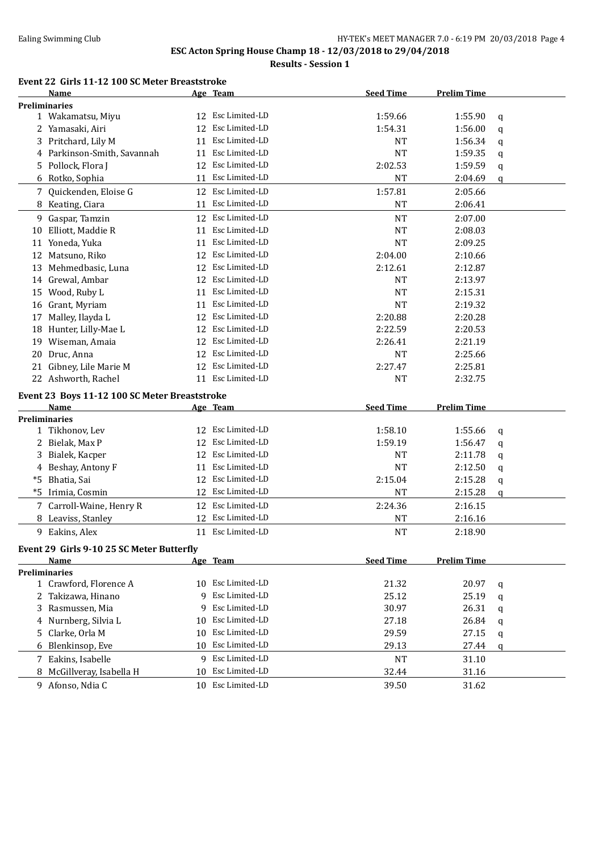# Ealing Swimming Club **HY-TEK's MEET MANAGER 7.0 - 6:19 PM 20/03/2018** Page 4 **ESC Acton Spring House Champ 18 - 12/03/2018 to 29/04/2018**

**Results - Session 1**

#### **Event 22 Girls 11-12 100 SC Meter Breaststroke**

|    | <b>Name</b>                                   |    | Age Team                            | <b>Seed Time</b> | <b>Prelim Time</b> |   |
|----|-----------------------------------------------|----|-------------------------------------|------------------|--------------------|---|
|    | <b>Preliminaries</b>                          |    |                                     |                  |                    |   |
|    | 1 Wakamatsu, Miyu                             |    | 12 Esc Limited-LD                   | 1:59.66          | 1:55.90            | q |
|    | 2 Yamasaki, Airi                              | 12 | Esc Limited-LD                      | 1:54.31          | 1:56.00            | q |
| 3  | Pritchard, Lily M                             | 11 | Esc Limited-LD                      | NT               | 1:56.34            | q |
|    | 4 Parkinson-Smith, Savannah                   | 11 | Esc Limited-LD                      | NT               | 1:59.35            | q |
| 5  | Pollock, Flora J                              | 12 | Esc Limited-LD                      | 2:02.53          | 1:59.59            | q |
|    | 6 Rotko, Sophia                               | 11 | Esc Limited-LD                      | NT               | 2:04.69            | q |
|    | 7 Quickenden, Eloise G                        | 12 | Esc Limited-LD                      | 1:57.81          | 2:05.66            |   |
|    | 8 Keating, Ciara                              | 11 | Esc Limited-LD                      | NT               | 2:06.41            |   |
|    | 9 Gaspar, Tamzin                              | 12 | Esc Limited-LD                      | <b>NT</b>        | 2:07.00            |   |
| 10 | Elliott, Maddie R                             | 11 | Esc Limited-LD                      | <b>NT</b>        | 2:08.03            |   |
| 11 | Yoneda, Yuka                                  | 11 | Esc Limited-LD                      | <b>NT</b>        | 2:09.25            |   |
| 12 | Matsuno, Riko                                 | 12 | Esc Limited-LD                      | 2:04.00          | 2:10.66            |   |
| 13 | Mehmedbasic, Luna                             | 12 | Esc Limited-LD                      | 2:12.61          | 2:12.87            |   |
|    |                                               |    | Esc Limited-LD                      |                  |                    |   |
|    | 14 Grewal, Ambar                              | 12 |                                     | <b>NT</b>        | 2:13.97            |   |
| 15 | Wood, Ruby L                                  | 11 | Esc Limited-LD                      | <b>NT</b>        | 2:15.31            |   |
|    | 16 Grant, Myriam                              | 11 | Esc Limited-LD                      | <b>NT</b>        | 2:19.32            |   |
| 17 | Malley, Ilayda L                              | 12 | Esc Limited-LD                      | 2:20.88          | 2:20.28            |   |
|    | 18 Hunter, Lilly-Mae L                        |    | 12 Esc Limited-LD                   | 2:22.59          | 2:20.53            |   |
| 19 | Wiseman, Amaia                                | 12 | Esc Limited-LD                      | 2:26.41          | 2:21.19            |   |
| 20 | Druc, Anna                                    |    | 12 Esc Limited-LD                   | NT               | 2:25.66            |   |
| 21 | Gibney, Lile Marie M                          |    | 12 Esc Limited-LD                   | 2:27.47          | 2:25.81            |   |
|    | 22 Ashworth, Rachel                           |    | 11 Esc Limited-LD                   | <b>NT</b>        | 2:32.75            |   |
|    | Event 23 Boys 11-12 100 SC Meter Breaststroke |    |                                     |                  |                    |   |
|    |                                               |    |                                     |                  |                    |   |
|    | Name                                          |    | Age Team                            | <b>Seed Time</b> | <b>Prelim Time</b> |   |
|    | <b>Preliminaries</b>                          |    |                                     |                  |                    |   |
|    | 1 Tikhonov, Lev                               | 12 | Esc Limited-LD                      | 1:58.10          | 1:55.66            | q |
|    | 2 Bielak, Max P                               | 12 | Esc Limited-LD                      | 1:59.19          | 1:56.47            | q |
| 3  | Bialek, Kacper                                | 12 | Esc Limited-LD                      | <b>NT</b>        | 2:11.78            | q |
|    | 4 Beshay, Antony F                            | 11 | Esc Limited-LD                      | <b>NT</b>        | 2:12.50            | q |
| *5 | Bhatia, Sai                                   | 12 | Esc Limited-LD                      | 2:15.04          | 2:15.28            | q |
| *5 | Irimia, Cosmin                                | 12 | Esc Limited-LD                      | <b>NT</b>        | 2:15.28            | q |
|    |                                               | 12 | Esc Limited-LD                      |                  |                    |   |
|    | 7 Carroll-Waine, Henry R                      | 12 | Esc Limited-LD                      | 2:24.36          | 2:16.15            |   |
|    | 8 Leaviss, Stanley                            |    |                                     | NT               | 2:16.16            |   |
|    | 9 Eakins, Alex                                |    | 11 Esc Limited-LD                   | <b>NT</b>        | 2:18.90            |   |
|    | Event 29 Girls 9-10 25 SC Meter Butterfly     |    |                                     |                  |                    |   |
|    | Name                                          |    | Age Team                            | <b>Seed Time</b> | <b>Prelim Time</b> |   |
|    | <b>Preliminaries</b>                          |    |                                     |                  |                    |   |
|    | 1 Crawford, Florence A                        |    | 10 Esc Limited-LD                   | 21.32            | 20.97              | q |
|    | 2 Takizawa, Hinano                            | 9  | Esc Limited-LD                      | 25.12            | 25.19              | q |
| 3  | Rasmussen, Mia                                | 9  | Esc Limited-LD                      | 30.97            | 26.31              | q |
|    | 4 Nurnberg, Silvia L                          | 10 | Esc Limited-LD                      | 27.18            | 26.84              | q |
| 5. | Clarke, Orla M                                | 10 | Esc Limited-LD                      | 29.59            | 27.15              | q |
|    | 6 Blenkinsop, Eve                             | 10 | Esc Limited-LD                      | 29.13            | 27.44              | q |
|    | 7 Eakins, Isabelle                            | 9  | Esc Limited-LD                      | NT               | 31.10              |   |
|    | 8 McGillveray, Isabella H<br>9 Afonso, Ndia C | 10 | Esc Limited-LD<br>10 Esc Limited-LD | 32.44            | 31.16              |   |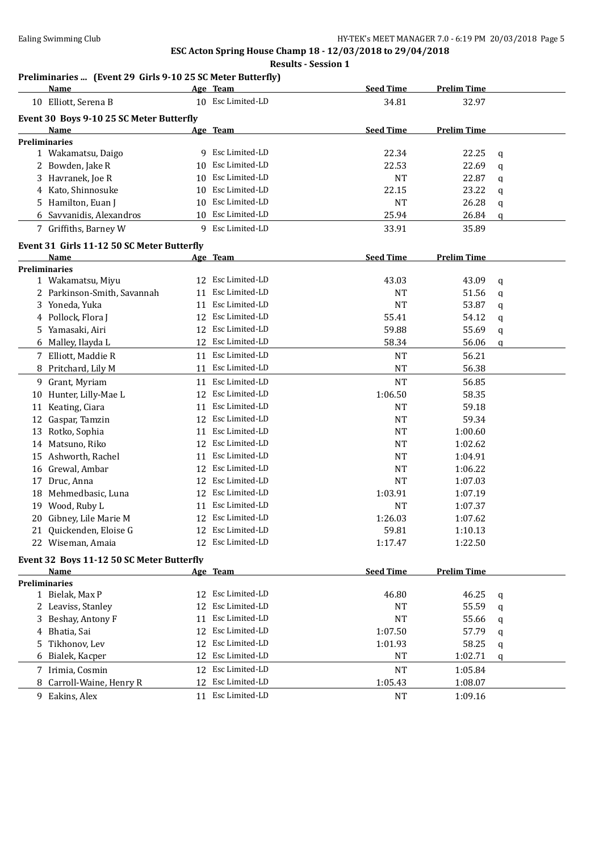# **ESC Acton Spring House Champ 18 - 12/03/2018 to 29/04/2018 Results - Session 1**

# **Preliminaries ... (Event 29 Girls 9-10 25 SC Meter Butterfly)**

|    | Name                                       |    | Age Team          | <b>Seed Time</b> | <b>Prelim Time</b> |   |
|----|--------------------------------------------|----|-------------------|------------------|--------------------|---|
|    | 10 Elliott, Serena B                       |    | 10 Esc Limited-LD | 34.81            | 32.97              |   |
|    | Event 30 Boys 9-10 25 SC Meter Butterfly   |    |                   |                  |                    |   |
|    | Name                                       |    | Age Team          | <b>Seed Time</b> | <b>Prelim Time</b> |   |
|    | Preliminaries                              |    |                   |                  |                    |   |
|    | 1 Wakamatsu, Daigo                         |    | 9 Esc Limited-LD  | 22.34            | 22.25              | q |
|    | 2 Bowden, Jake R                           | 10 | Esc Limited-LD    | 22.53            | 22.69              | q |
| 3  | Havranek, Joe R                            | 10 | Esc Limited-LD    | <b>NT</b>        | 22.87              | q |
|    | 4 Kato, Shinnosuke                         | 10 | Esc Limited-LD    | 22.15            | 23.22              | q |
| 5. | Hamilton, Euan J                           | 10 | Esc Limited-LD    | <b>NT</b>        | 26.28              | q |
|    | Savvanidis, Alexandros                     | 10 | Esc Limited-LD    | 25.94            | 26.84              | q |
|    | 7 Griffiths, Barney W                      |    | 9 Esc Limited-LD  | 33.91            | 35.89              |   |
|    | Event 31 Girls 11-12 50 SC Meter Butterfly |    |                   |                  |                    |   |
|    | Name                                       |    | Age Team          | <b>Seed Time</b> | <b>Prelim Time</b> |   |
|    | <b>Preliminaries</b>                       |    |                   |                  |                    |   |
|    | 1 Wakamatsu, Miyu                          | 12 | Esc Limited-LD    | 43.03            | 43.09              | q |
|    | 2 Parkinson-Smith, Savannah                | 11 | Esc Limited-LD    | <b>NT</b>        | 51.56              | q |
|    | 3 Yoneda, Yuka                             | 11 | Esc Limited-LD    | <b>NT</b>        | 53.87              | q |
|    | 4 Pollock, Flora J                         | 12 | Esc Limited-LD    | 55.41            | 54.12              | q |
|    | 5 Yamasaki, Airi                           | 12 | Esc Limited-LD    | 59.88            | 55.69              | q |
| 6  | Malley, Ilayda L                           | 12 | Esc Limited-LD    | 58.34            | 56.06              | q |
|    | 7 Elliott, Maddie R                        | 11 | Esc Limited-LD    | <b>NT</b>        | 56.21              |   |
| 8  | Pritchard, Lily M                          |    | 11 Esc Limited-LD | <b>NT</b>        | 56.38              |   |
| 9  | Grant, Myriam                              | 11 | Esc Limited-LD    | <b>NT</b>        | 56.85              |   |
| 10 | Hunter, Lilly-Mae L                        | 12 | Esc Limited-LD    | 1:06.50          | 58.35              |   |
|    | 11 Keating, Ciara                          | 11 | Esc Limited-LD    | <b>NT</b>        | 59.18              |   |
|    | 12 Gaspar, Tamzin                          | 12 | Esc Limited-LD    | <b>NT</b>        | 59.34              |   |
| 13 | Rotko, Sophia                              | 11 | Esc Limited-LD    | <b>NT</b>        | 1:00.60            |   |
|    | 14 Matsuno, Riko                           | 12 | Esc Limited-LD    | <b>NT</b>        | 1:02.62            |   |
| 15 | Ashworth, Rachel                           | 11 | Esc Limited-LD    | <b>NT</b>        | 1:04.91            |   |
| 16 | Grewal, Ambar                              | 12 | Esc Limited-LD    | <b>NT</b>        | 1:06.22            |   |
| 17 | Druc, Anna                                 | 12 | Esc Limited-LD    | <b>NT</b>        | 1:07.03            |   |
| 18 | Mehmedbasic, Luna                          | 12 | Esc Limited-LD    | 1:03.91          | 1:07.19            |   |
| 19 | Wood, Ruby L                               | 11 | Esc Limited-LD    | <b>NT</b>        | 1:07.37            |   |
| 20 | Gibney, Lile Marie M                       | 12 | Esc Limited-LD    | 1:26.03          |                    |   |
|    | 21 Quickenden, Eloise G                    |    | 12 Esc Limited-LD | 59.81            | 1:07.62<br>1:10.13 |   |
|    |                                            |    | Esc Limited-LD    |                  |                    |   |
|    | 22 Wiseman, Amaia                          |    |                   | 1:17.47          | 1:22.50            |   |
|    | Event 32 Boys 11-12 50 SC Meter Butterfly  |    |                   |                  |                    |   |
|    | Name                                       |    | Age Team          | <b>Seed Time</b> | <b>Prelim Time</b> |   |
|    | <b>Preliminaries</b><br>1 Bielak, Max P    | 12 | Esc Limited-LD    | 46.80            | 46.25              |   |
|    | 2 Leaviss, Stanley                         | 12 | Esc Limited-LD    | NT               | 55.59              | q |
| 3  | Beshay, Antony F                           | 11 | Esc Limited-LD    | NT               | 55.66              | q |
|    |                                            |    | Esc Limited-LD    |                  |                    | q |
| 4  | Bhatia, Sai                                | 12 | Esc Limited-LD    | 1:07.50          | 57.79              | q |
| 5  | Tikhonov, Lev                              | 12 | Esc Limited-LD    | 1:01.93          | 58.25              | q |
| 6  | Bialek, Kacper                             | 12 |                   | NT               | 1:02.71            | q |
|    | 7 Irimia, Cosmin                           | 12 | Esc Limited-LD    | NT               | 1:05.84            |   |
| 8  | Carroll-Waine, Henry R                     | 12 | Esc Limited-LD    | 1:05.43          | 1:08.07            |   |
|    | 9 Eakins, Alex                             |    | 11 Esc Limited-LD | NT               | 1:09.16            |   |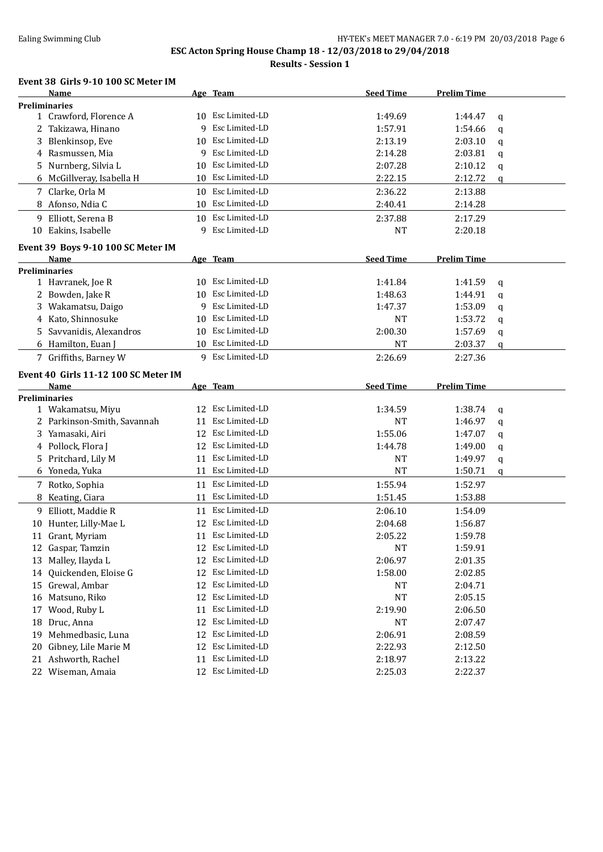# Ealing Swimming Club **HY-TEK's MEET MANAGER 7.0 - 6:19 PM 20/03/2018** Page 6 **ESC Acton Spring House Champ 18 - 12/03/2018 to 29/04/2018**

**Results - Session 1**

### **Event 38 Girls 9-10 100 SC Meter IM**

|    | Name                                 |    | Age Team          | <b>Seed Time</b> | <b>Prelim Time</b> |   |
|----|--------------------------------------|----|-------------------|------------------|--------------------|---|
|    | <b>Preliminaries</b>                 |    |                   |                  |                    |   |
|    | 1 Crawford, Florence A               |    | 10 Esc Limited-LD | 1:49.69          | 1:44.47            | q |
|    | 2 Takizawa, Hinano                   | q  | Esc Limited-LD    | 1:57.91          | 1:54.66            | q |
| 3  | Blenkinsop, Eve                      |    | 10 Esc Limited-LD | 2:13.19          | 2:03.10            | q |
| 4  | Rasmussen, Mia                       | 9  | Esc Limited-LD    | 2:14.28          | 2:03.81            | q |
| 5. | Nurnberg, Silvia L                   | 10 | Esc Limited-LD    | 2:07.28          | 2:10.12            | q |
| 6  | McGillveray, Isabella H              | 10 | Esc Limited-LD    | 2:22.15          | 2:12.72            | q |
|    | 7 Clarke, Orla M                     |    | 10 Esc Limited-LD | 2:36.22          | 2:13.88            |   |
|    | 8 Afonso, Ndia C                     |    | 10 Esc Limited-LD | 2:40.41          | 2:14.28            |   |
|    | 9 Elliott, Serena B                  |    | 10 Esc Limited-LD | 2:37.88          | 2:17.29            |   |
|    | 10 Eakins, Isabelle                  | 9  | Esc Limited-LD    | <b>NT</b>        | 2:20.18            |   |
|    | Event 39 Boys 9-10 100 SC Meter IM   |    |                   |                  |                    |   |
|    | Name                                 |    | Age Team          | <b>Seed Time</b> | <b>Prelim Time</b> |   |
|    | <b>Preliminaries</b>                 |    |                   |                  |                    |   |
|    | 1 Havranek, Joe R                    |    | 10 Esc Limited-LD | 1:41.84          | 1:41.59            | q |
| 2  | Bowden, Jake R                       | 10 | Esc Limited-LD    | 1:48.63          | 1:44.91            | q |
| 3  | Wakamatsu, Daigo                     | 9  | Esc Limited-LD    | 1:47.37          | 1:53.09            | q |
| 4  | Kato, Shinnosuke                     | 10 | Esc Limited-LD    | NT               | 1:53.72            | q |
| 5. | Savvanidis, Alexandros               | 10 | Esc Limited-LD    | 2:00.30          | 1:57.69            | q |
|    | 6 Hamilton, Euan J                   | 10 | Esc Limited-LD    | <b>NT</b>        | 2:03.37            | q |
|    | 7 Griffiths, Barney W                |    | 9 Esc Limited-LD  | 2:26.69          | 2:27.36            |   |
|    | Event 40 Girls 11-12 100 SC Meter IM |    |                   |                  |                    |   |
|    | Name                                 |    | Age Team          | <b>Seed Time</b> | <b>Prelim Time</b> |   |
|    | <b>Preliminaries</b>                 |    |                   |                  |                    |   |
|    | 1 Wakamatsu, Miyu                    |    | 12 Esc Limited-LD | 1:34.59          | 1:38.74            | q |
|    | 2 Parkinson-Smith, Savannah          | 11 | Esc Limited-LD    | NT               | 1:46.97            | q |
| 3  | Yamasaki, Airi                       | 12 | Esc Limited-LD    | 1:55.06          | 1:47.07            | q |
|    | 4 Pollock, Flora J                   | 12 | Esc Limited-LD    | 1:44.78          | 1:49.00            | q |
| 5  | Pritchard, Lily M                    | 11 | Esc Limited-LD    | NT               | 1:49.97            | q |
|    | 6 Yoneda, Yuka                       | 11 | Esc Limited-LD    | NT               | 1:50.71            | q |
|    | 7 Rotko, Sophia                      | 11 | Esc Limited-LD    | 1:55.94          | 1:52.97            |   |
| 8  | Keating, Ciara                       | 11 | Esc Limited-LD    | 1:51.45          | 1:53.88            |   |
| 9. | Elliott, Maddie R                    |    | 11 Esc Limited-LD | 2:06.10          | 1:54.09            |   |
|    | 10 Hunter, Lilly-Mae L               | 12 | Esc Limited-LD    | 2:04.68          | 1:56.87            |   |
|    | 11 Grant, Myriam                     |    | 11 Esc Limited-LD | 2:05.22          | 1:59.78            |   |
|    | 12 Gaspar, Tamzin                    |    | 12 Esc Limited-LD | <b>NT</b>        | 1:59.91            |   |
| 13 | Malley, Ilayda L                     | 12 | Esc Limited-LD    | 2:06.97          | 2:01.35            |   |
| 14 | Quickenden, Eloise G                 | 12 | Esc Limited-LD    | 1:58.00          | 2:02.85            |   |
|    | 15 Grewal, Ambar                     | 12 | Esc Limited-LD    | NT               | 2:04.71            |   |
| 16 | Matsuno, Riko                        | 12 | Esc Limited-LD    | NT               | 2:05.15            |   |
| 17 | Wood, Ruby L                         | 11 | Esc Limited-LD    | 2:19.90          | 2:06.50            |   |
| 18 | Druc, Anna                           | 12 | Esc Limited-LD    | NT               | 2:07.47            |   |
| 19 | Mehmedbasic, Luna                    | 12 | Esc Limited-LD    | 2:06.91          | 2:08.59            |   |
| 20 | Gibney, Lile Marie M                 | 12 | Esc Limited-LD    | 2:22.93          | 2:12.50            |   |
| 21 | Ashworth, Rachel                     | 11 | Esc Limited-LD    | 2:18.97          | 2:13.22            |   |
|    | 22 Wiseman, Amaia                    | 12 | Esc Limited-LD    | 2:25.03          | 2:22.37            |   |
|    |                                      |    |                   |                  |                    |   |